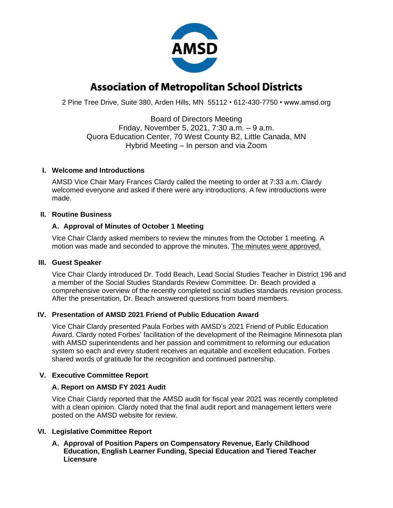

# **Association of Metropolitan School Districts**

2 Pine Tree Drive, Suite 380, Arden Hills, MN 55112 • 612-430-7750 • www.amsd.org

Board of Directors Meeting Friday, November 5, 2021, 7:30 a.m. – 9 a.m. Quora Education Center, 70 West County B2, Little Canada, MN Hybrid Meeting – In person and via Zoom

#### **I. Welcome and Introductions**

AMSD Vice Chair Mary Frances Clardy called the meeting to order at 7:33 a.m. Clardy welcomed everyone and asked if there were any introductions. A few introductions were made.

## **II. Routine Business**

## **A. Approval of Minutes of October 1 Meeting**

Vice Chair Clardy asked members to review the minutes from the October 1 meeting. A motion was made and seconded to approve the minutes. The minutes were approved.

#### **III. Guest Speaker**

Vice Chair Clardy introduced Dr. Todd Beach, Lead Social Studies Teacher in District 196 and a member of the Social Studies Standards Review Committee. Dr. Beach provided a comprehensive overview of the recently completed social studies standards revision process. After the presentation, Dr. Beach answered questions from board members.

# **IV. Presentation of AMSD 2021 Friend of Public Education Award**

Vice Chair Clardy presented Paula Forbes with AMSD's 2021 Friend of Public Education Award. Clardy noted Forbes' facilitation of the development of the Reimagine Minnesota plan with AMSD superintendents and her passion and commitment to reforming our education system so each and every student receives an equitable and excellent education. Forbes shared words of gratitude for the recognition and continued partnership.

# **V. Executive Committee Report**

#### **A. Report on AMSD FY 2021 Audit**

Vice Chair Clardy reported that the AMSD audit for fiscal year 2021 was recently completed with a clean opinion. Clardy noted that the final audit report and management letters were posted on the AMSD website for review.

#### **VI. Legislative Committee Report**

**A. Approval of Position Papers on Compensatory Revenue, Early Childhood Education, English Learner Funding, Special Education and Tiered Teacher Licensure**